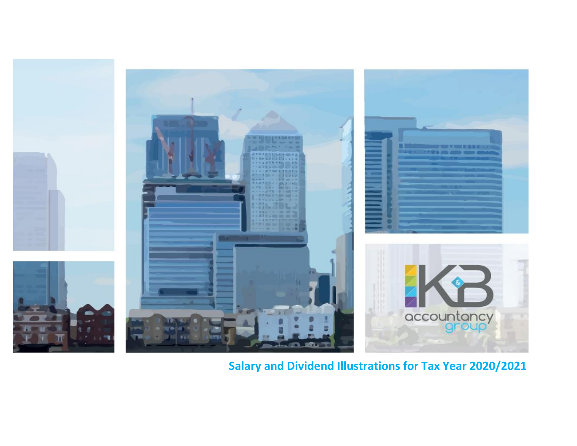

**Salary and Dividend Illustrations for Tax Year 2020/2021**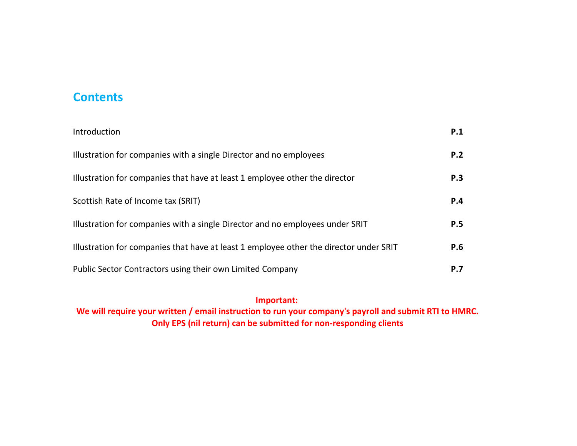## **Contents**

| Introduction                                                                           | P.1        |
|----------------------------------------------------------------------------------------|------------|
| Illustration for companies with a single Director and no employees                     | P.2        |
| Illustration for companies that have at least 1 employee other the director            | P.3        |
| Scottish Rate of Income tax (SRIT)                                                     | P.4        |
| Illustration for companies with a single Director and no employees under SRIT          | <b>P.5</b> |
| Illustration for companies that have at least 1 employee other the director under SRIT | P.6        |
| Public Sector Contractors using their own Limited Company                              | P.7        |

**We will require your written / email instruction to run your company's payroll and submit RTI to HMRC. Only EPS (nil return) can be submitted for non-responding clients Important:**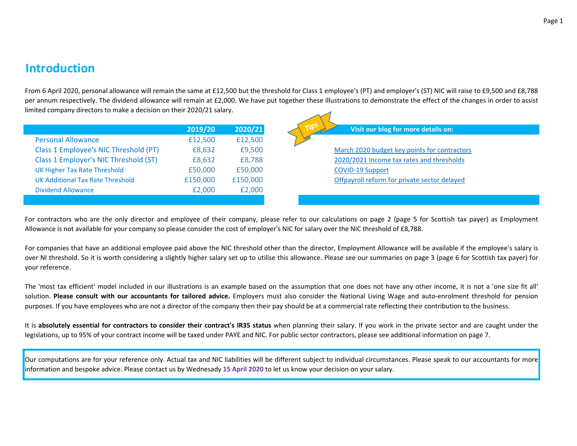### **Introduction**

From 6 April 2020, personal allowance will remain the same at £12,500 but the threshold for Class 1 employee's (PT) and employer's (ST) NIC will raise to £9,500 and £8,788 per annum respectively. The dividend allowance will remain at £2,000. We have put together these illustrations to demonstrate the effect of the changes in order to assist limited company directors to make a decision on their 2020/21 salary.

|                                       | 2019/20  | 2020/21  | Tips<br>Visit our blog for more details on:  |
|---------------------------------------|----------|----------|----------------------------------------------|
| <b>Personal Allowance</b>             | £12,500  | £12,500  |                                              |
| Class 1 Employee's NIC Threshold (PT) | £8,632   | £9,500   | March 2020 budget key points for contractors |
| Class 1 Employer's NIC Threshold (ST) | £8,632   | £8,788   | 2020/2021 Income tax rates and thresholds    |
| UK Higher Tax Rate Threshold          | £50,000  | £50,000  | <b>COVID-19 Support</b>                      |
| UK Additional Tax Rate Threshold      | £150,000 | £150,000 | Offpayroll reform for private sector delayed |
| <b>Dividend Allowance</b>             | £2,000   | £2,000   |                                              |
|                                       |          |          |                                              |

For contractors who are the only director and employee of their company, please refer to our calculations on page 2 (page 5 for Scottish tax payer) as Employment Allowance is not available for your company so please consider the cost of employer's NIC for salary over the NIC threshold of £8,788.

For companies that have an additional employee paid above the NIC threshold other than the director, Employment Allowance will be available if the employee's salary is over NI threshold. So it is worth considering a slightly higher salary set up to utilise this allowance. Please see our summaries on page 3 (page 6 for Scottish tax payer) for your reference.

The 'most tax efficient' model included in our illustrations is an example based on the assumption that one does not have any other income, it is not a 'one size fit all' solution. **Please consult with our accountants for tailored advice.** Employers must also consider the National Living Wage and auto-enrolment threshold for pension purposes. If you have employees who are not a director of the company then their pay should be at a commercial rate reflecting their contribution to the business.

It is absolutely essential for contractors to consider their contract's IR35 status when planning their salary. If you work in the private sector and are caught under the legislations, up to 95% of your contract income will be taxed under PAYE and NIC. For public sector contractors, please see additional information on page 7.

Our computations are for your reference only. Actual tax and NIC liabilities will be different subject to individual circumstances. Please speak to our accountants for more information and bespoke advice. Please contact us by Wednesady **15 April 2020** to let us know your decision on your salary.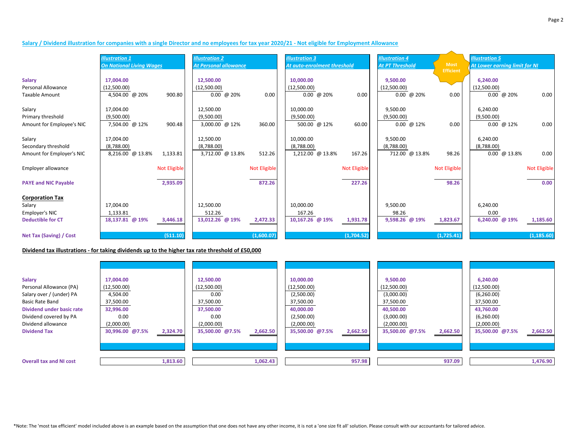#### **Salary / Dividend illustration for companies with a single Director and no employees for tax year 2020/21 - Not eligible for Employment Allowance**

|                                | <b>Illustration 1</b>           |                     | <b>Illustration 2</b>        |                     | <b>Illustration 3</b>       |                     | <b>Illustration 4</b>  |                                 | <b>Illustration 5</b>         |              |  |
|--------------------------------|---------------------------------|---------------------|------------------------------|---------------------|-----------------------------|---------------------|------------------------|---------------------------------|-------------------------------|--------------|--|
|                                | <b>On National Living Wages</b> |                     | <b>At Personal allowance</b> |                     | At auto-enrolment threshold |                     | <b>At PT Threshold</b> | <b>Most</b><br><b>Efficient</b> | At Lower earning limit for NI |              |  |
| <b>Salary</b>                  | 17,004.00                       |                     | 12,500.00                    |                     | 10,000.00                   |                     | 9,500.00               |                                 | 6,240.00                      |              |  |
| Personal Allowance             | (12,500.00)                     |                     | (12,500.00)                  |                     | (12,500.00)                 |                     | (12,500.00)            |                                 | (12,500.00)                   |              |  |
| <b>Taxable Amount</b>          | 4,504.00 @ 20%                  | 900.80              | $0.00 \ @ 20\%$              | 0.00                | $0.00 \ @ 20\%$             | 0.00                | $0.00 \ @ 20\%$        | 0.00                            | $0.00 \ @ 20\%$               | 0.00         |  |
| Salary                         | 17,004.00                       |                     | 12,500.00                    |                     | 10,000.00                   |                     | 9,500.00               |                                 | 6,240.00                      |              |  |
| Primary threshold              | (9,500.00)                      |                     | (9,500.00)                   |                     | (9,500.00)                  |                     | (9,500.00)             |                                 | (9,500.00)                    |              |  |
| Amount for Employee's NIC      | 7,504.00 @ 12%                  | 900.48              | 3,000.00 @ 12%               | 360.00              | 500.00 @ 12%                | 60.00               | $0.00 \ @ 12\%$        | 0.00                            | $0.00 \ @ 12\%$               | 0.00         |  |
| Salary                         | 17,004.00                       |                     | 12,500.00                    |                     | 10,000.00                   |                     | 9,500.00               |                                 | 6,240.00                      |              |  |
| Secondary threshold            | (8,788.00)                      |                     | (8,788.00)                   |                     | (8,788.00)                  |                     | (8,788.00)             |                                 | (8,788.00)                    |              |  |
| Amount for Employer's NIC      | 8,216.00 @ 13.8%                | 1,133.81            | 3,712.00 @ 13.8%             | 512.26              | 1,212.00 @ 13.8%            | 167.26              | 712.00 @ 13.8%         | 98.26                           | $0.00 \ @ 13.8\%$             | 0.00         |  |
| Employer allowance             |                                 | <b>Not Eligible</b> |                              | <b>Not Eligible</b> |                             | <b>Not Eligible</b> |                        | <b>Not Eligible</b>             |                               | Not Eligible |  |
| <b>PAYE and NIC Payable</b>    |                                 | 2,935.09            |                              | 872.26              |                             | 227.26              |                        | 98.26                           |                               | 0.00         |  |
| <b>Corporation Tax</b>         |                                 |                     |                              |                     |                             |                     |                        |                                 |                               |              |  |
| Salary                         | 17,004.00                       |                     | 12,500.00                    |                     | 10,000.00                   |                     | 9,500.00               |                                 | 6,240.00                      |              |  |
| Employer's NIC                 | 1,133.81                        |                     | 512.26                       |                     | 167.26                      |                     | 98.26                  |                                 | 0.00                          |              |  |
| <b>Deductible for CT</b>       | 18,137.81 @ 19%                 | 3,446.18            | 13,012.26 @ 19%              | 2,472.33            | 10,167.26 @ 19%             | 1,931.78            | 9,598.26 @ 19%         | 1,823.67                        | 6,240.00 @ 19%                | 1,185.60     |  |
| <b>Net Tax (Saving) / Cost</b> |                                 | (511.10)            |                              | (1,600.07)          |                             | (1,704.52)          |                        | (1,725.41)                      |                               | (1, 185.60)  |  |

#### **Dividend tax illustrations - for taking dividends up to the higher tax rate threshold of £50,000**

| <b>Salary</b><br>Personal Allowance (PA)<br>Salary over / (under) PA<br><b>Basic Rate Band</b><br><b>Dividend under basic rate</b><br>Dividend covered by PA<br>Dividend allowance<br><b>Dividend Tax</b> | 17,004.00<br>(12,500.00)<br>4,504.00<br>37,500.00<br>32,996.00<br>0.00 <sub>1</sub><br>(2,000.00)<br>30,996.00 @7.5% | 2,324.70 | 12,500.00<br>(12,500.00)<br>0.00<br>37,500.00<br>37,500.00<br>0.00<br>(2,000.00)<br>35,500.00 @7.5% | 2,662.50 | 10,000.00<br>(12,500.00)<br>(2,500.00)<br>37,500.00<br>40,000.00<br>(2,500.00)<br>(2,000.00)<br>35,500.00 @7.5% | 2,662.50 | 9,500.00<br>(12,500.00)<br>(3,000.00)<br>37,500.00<br>40,500.00<br>(3,000.00)<br>(2,000.00)<br>35,500.00 @7.5% | 2,662.50 | 6,240.00<br>(12,500.00)<br>(6,260.00)<br>37,500.00<br>43,760.00<br>(6,260.00)<br>(2,000.00)<br>35,500.00 @7.5% | 2,662.50 |
|-----------------------------------------------------------------------------------------------------------------------------------------------------------------------------------------------------------|----------------------------------------------------------------------------------------------------------------------|----------|-----------------------------------------------------------------------------------------------------|----------|-----------------------------------------------------------------------------------------------------------------|----------|----------------------------------------------------------------------------------------------------------------|----------|----------------------------------------------------------------------------------------------------------------|----------|
| <b>Overall tax and NI cost</b>                                                                                                                                                                            |                                                                                                                      | 1,813.60 |                                                                                                     | 1,062.43 |                                                                                                                 | 957.98   |                                                                                                                | 937.09   |                                                                                                                | 1,476.90 |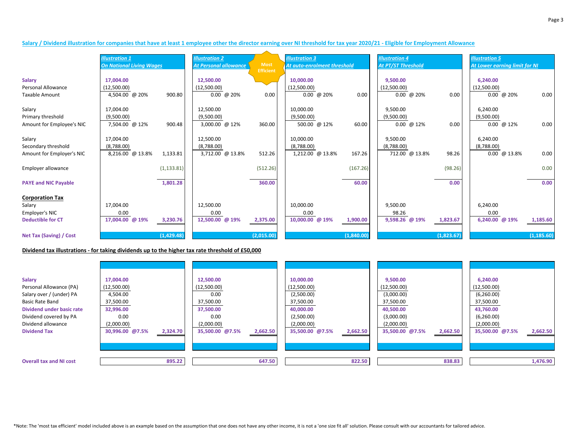|                                | <b>Illustration 1</b>           |             | <b>Illustration 2</b>        |                                 | <b>Illustration 3</b>       |            | <b>Illustration 4</b>     |            | <b>Illustration 5</b>         |             |
|--------------------------------|---------------------------------|-------------|------------------------------|---------------------------------|-----------------------------|------------|---------------------------|------------|-------------------------------|-------------|
|                                | <b>On National Living Wages</b> |             | <b>At Personal allowance</b> | <b>Most</b><br><b>Efficient</b> | At auto-enrolment threshold |            | <b>At PT/ST Threshold</b> |            | At Lower earning limit for NI |             |
| <b>Salary</b>                  | 17,004.00                       |             | 12,500.00                    |                                 | 10,000.00                   |            | 9,500.00                  |            | 6,240.00                      |             |
| Personal Allowance             | (12,500.00)                     |             | (12,500.00)                  |                                 | (12,500.00)                 |            | (12,500.00)               |            | (12,500.00)                   |             |
| <b>Taxable Amount</b>          | 4,504.00 @ 20%                  | 900.80      | $0.00 \ @ 20\%$              | 0.00                            | $0.00 \ @ 20\%$             | 0.00       | $0.00 \ @ 20\%$           | 0.00       | $0.00 \ @ 20\%$               | 0.00        |
| Salary                         | 17,004.00                       |             | 12,500.00                    |                                 | 10,000.00                   |            | 9,500.00                  |            | 6,240.00                      |             |
| Primary threshold              | (9,500.00)                      |             | (9,500.00)                   |                                 | (9,500.00)                  |            | (9,500.00)                |            | (9,500.00)                    |             |
| Amount for Employee's NIC      | 7,504.00 @ 12%                  | 900.48      | 3,000.00 @ 12%               | 360.00                          | 500.00 @ 12%                | 60.00      | $0.00 \ @ 12\%$           | 0.00       | $0.00 \ @ 12\%$               | 0.00        |
| Salary                         | 17,004.00                       |             | 12,500.00                    |                                 | 10,000.00                   |            | 9,500.00                  |            | 6,240.00                      |             |
| Secondary threshold            | (8,788.00)                      |             | (8,788.00)                   |                                 | (8,788.00)                  |            | (8,788.00)                |            | (8,788.00)                    |             |
| Amount for Employer's NIC      | 8,216.00 @ 13.8%                | 1,133.81    | 3,712.00 @ 13.8%             | 512.26                          | 1,212.00 @ 13.8%            | 167.26     | 712.00 @ 13.8%            | 98.26      | $0.00 \ @ 13.8\%$             | 0.00        |
| Employer allowance             |                                 | (1, 133.81) |                              | (512.26)                        |                             | (167.26)   |                           | (98.26)    |                               | 0.00        |
| <b>PAYE and NIC Payable</b>    |                                 | 1,801.28    |                              | 360.00                          |                             | 60.00      |                           | 0.00       |                               | 0.00        |
| <b>Corporation Tax</b>         |                                 |             |                              |                                 |                             |            |                           |            |                               |             |
| Salary                         | 17,004.00                       |             | 12,500.00                    |                                 | 10,000.00                   |            | 9,500.00                  |            | 6,240.00                      |             |
| Employer's NIC                 | 0.00                            |             | 0.00                         |                                 | 0.00                        |            | 98.26                     |            | 0.00                          |             |
| <b>Deductible for CT</b>       | 17,004.00 @ 19%                 | 3,230.76    | 12,500.00 @ 19%              | 2,375.00                        | 10,000.00 @ 19%             | 1,900.00   | 9,598.26 @ 19%            | 1,823.67   | 6,240.00 @ 19%                | 1,185.60    |
| <b>Net Tax (Saving) / Cost</b> |                                 | (1,429.48)  |                              | (2,015.00)                      |                             | (1,840.00) |                           | (1,823.67) |                               | (1, 185.60) |

#### **Dividend tax illustrations - for taking dividends up to the higher tax rate threshold of £50,000**

| <b>Salary</b><br>Personal Allowance (PA)<br>Salary over / (under) PA<br><b>Basic Rate Band</b><br>Dividend under basic rate<br>Dividend covered by PA<br>Dividend allowance<br><b>Dividend Tax</b> | 17,004.00<br>(12,500.00)<br>4,504.00<br>37,500.00<br>32,996.00<br>0.00<br>(2,000.00)<br>30,996.00 @7.5% | 2,324.70 | 12,500.00<br>(12,500.00)<br>0.00<br>37,500.00<br>37,500.00<br>0.00<br>(2,000.00)<br>35,500.00 @7.5% | 2,662.50 | 10,000.00<br>(12,500.00)<br>(2,500.00)<br>37,500.00<br>40,000.00<br>(2,500.00)<br>(2,000.00)<br>35,500.00 @7.5% | 2,662.50 | 9,500.00<br>(12,500.00)<br>(3,000.00)<br>37,500.00<br>40,500.00<br>(3,000.00)<br>(2,000.00)<br>35,500.00 @7.5% | 2,662.50 | 6,240.00<br>(12,500.00)<br>(6,260.00)<br>37,500.00<br>43,760.00<br>(6,260.00)<br>(2,000.00)<br>35,500.00 @7.5% | 2,662.50 |
|----------------------------------------------------------------------------------------------------------------------------------------------------------------------------------------------------|---------------------------------------------------------------------------------------------------------|----------|-----------------------------------------------------------------------------------------------------|----------|-----------------------------------------------------------------------------------------------------------------|----------|----------------------------------------------------------------------------------------------------------------|----------|----------------------------------------------------------------------------------------------------------------|----------|
| <b>Overall tax and NI cost</b>                                                                                                                                                                     |                                                                                                         | 895.22   |                                                                                                     | 647.50   |                                                                                                                 | 822.50   |                                                                                                                | 838.83   |                                                                                                                | 1,476.90 |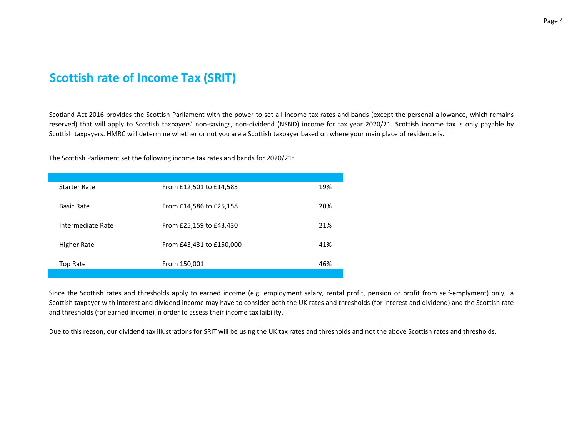# **Scottish rate of Income Tax (SRIT)**

Scotland Act 2016 provides the Scottish Parliament with the power to set all income tax rates and bands (except the personal allowance, which remains reserved) that will apply to Scottish taxpayers' non-savings, non-dividend (NSND) income for tax year 2020/21. Scottish income tax is only payable by Scottish taxpayers. HMRC will determine whether or not you are a Scottish taxpayer based on where your main place of residence is.

The Scottish Parliament set the following income tax rates and bands for 2020/21:

| <b>Starter Rate</b> | From £12,501 to £14,585  | 19% |
|---------------------|--------------------------|-----|
| <b>Basic Rate</b>   | From £14,586 to £25,158  | 20% |
| Intermediate Rate   | From £25,159 to £43,430  | 21% |
| <b>Higher Rate</b>  | From £43,431 to £150,000 | 41% |
| Top Rate            | From 150,001             | 46% |
|                     |                          |     |

Since the Scottish rates and thresholds apply to earned income (e.g. employment salary, rental profit, pension or profit from self-emplyment) only, a Scottish taxpayer with interest and dividend income may have to consider both the UK rates and thresholds (for interest and dividend) and the Scottish rate and thresholds (for earned income) in order to assess their income tax laibility.

Due to this reason, our dividend tax illustrations for SRIT will be using the UK tax rates and thresholds and not the above Scottish rates and thresholds.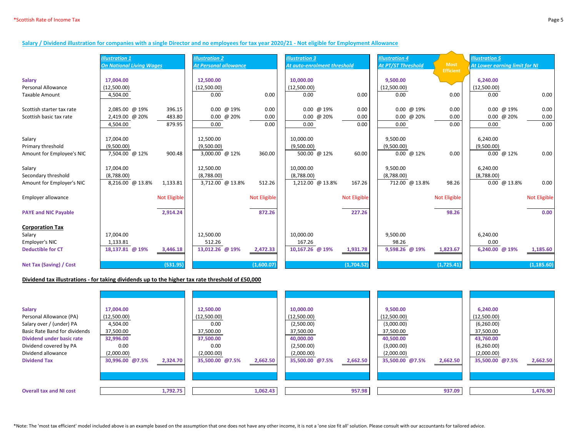#### **Salary / Dividend illustration for companies with a single Director and no employees for tax year 2020/21 - Not eligible for Employment Allowance**

|                                | <b>Illustration 1</b>           |                     | <b>Illustration 2</b>        |                     | <b>Illustration 3</b>       |                     | <b>Illustration 4</b> |                     | <b>Illustration 5</b>         |                     |  |
|--------------------------------|---------------------------------|---------------------|------------------------------|---------------------|-----------------------------|---------------------|-----------------------|---------------------|-------------------------------|---------------------|--|
|                                | <b>On National Living Wages</b> |                     | <b>At Personal allowance</b> |                     | At auto-enrolment threshold |                     | At PT/ST Threshold    | <b>Most</b>         | At Lower earning limit for NI |                     |  |
|                                |                                 |                     |                              |                     |                             |                     |                       | <b>Efficient</b>    |                               |                     |  |
| <b>Salary</b>                  | 17,004.00                       |                     | 12,500.00                    |                     | 10,000.00                   |                     | 9,500.00              |                     | 6,240.00                      |                     |  |
| <b>Personal Allowance</b>      | (12,500.00)                     |                     | (12,500.00)                  |                     | (12,500.00)                 |                     | (12,500.00)           |                     | (12,500.00)                   |                     |  |
| <b>Taxable Amount</b>          | 4,504.00                        |                     | 0.00                         | 0.00                | 0.00                        | 0.00                | 0.00                  | 0.00                | 0.00                          | 0.00                |  |
|                                |                                 |                     |                              |                     |                             |                     |                       |                     |                               |                     |  |
| Scottish starter tax rate      | 2,085.00 @ 19%                  | 396.15              | $0.00 \ @ 19\%$              | 0.00                | $0.00 \ @ 19\%$             | 0.00                | 0.00 @ 19%            | 0.00                | $0.00 \ @ 19\%$               | 0.00                |  |
| Scottish basic tax rate        | 2,419.00 @ 20%                  | 483.80              | $0.00 \ @ 20\%$              | 0.00                | $0.00 \ @ 20\%$             | 0.00                | $0.00 \ @ 20\%$       | 0.00                | $0.00 \ @ 20\%$               | 0.00                |  |
|                                | 4,504.00                        | 879.95              | 0.00                         | 0.00                | 0.00                        | 0.00                | 0.00                  | 0.00                | 0.00                          | 0.00                |  |
|                                |                                 |                     |                              |                     |                             |                     |                       |                     |                               |                     |  |
| Salary                         | 17,004.00                       |                     | 12,500.00                    |                     | 10,000.00                   |                     | 9,500.00              |                     | 6,240.00                      |                     |  |
| Primary threshold              | (9,500.00)                      |                     | (9,500.00)                   |                     | (9,500.00)                  |                     | (9,500.00)            |                     | (9,500.00)                    |                     |  |
| Amount for Employee's NIC      | 7,504.00 @ 12%                  | 900.48              | 3,000.00 @ 12%               | 360.00              | 500.00 @ 12%                | 60.00               | $0.00 \ @ 12\%$       | 0.00                | $0.00 \ @ 12\%$               | 0.00                |  |
|                                |                                 |                     |                              |                     |                             |                     |                       |                     |                               |                     |  |
| Salary                         | 17,004.00                       |                     | 12,500.00                    |                     | 10,000.00                   |                     | 9,500.00              |                     | 6,240.00                      |                     |  |
| Secondary threshold            | (8,788.00)                      |                     | (8,788.00)                   |                     | (8,788.00)                  |                     | (8,788.00)            |                     | (8,788.00)                    |                     |  |
| Amount for Employer's NIC      | 8,216.00 @ 13.8%                | 1,133.81            | 3,712.00 @ 13.8%             | 512.26              | 1,212.00 @ 13.8%            | 167.26              | 712.00 @ 13.8%        | 98.26               | $0.00 \ @ 13.8\%$             | 0.00                |  |
|                                |                                 |                     |                              |                     |                             |                     |                       |                     |                               |                     |  |
| Employer allowance             |                                 | <b>Not Eligible</b> |                              | <b>Not Eligible</b> |                             | <b>Not Eligible</b> |                       | <b>Not Eligible</b> |                               | <b>Not Eligible</b> |  |
|                                |                                 |                     |                              |                     |                             |                     |                       |                     |                               |                     |  |
| <b>PAYE and NIC Payable</b>    |                                 | 2,914.24            |                              | 872.26              |                             | 227.26              |                       | 98.26               |                               | 0.00                |  |
|                                |                                 |                     |                              |                     |                             |                     |                       |                     |                               |                     |  |
| <b>Corporation Tax</b>         |                                 |                     |                              |                     |                             |                     |                       |                     |                               |                     |  |
| Salary                         | 17,004.00                       |                     | 12,500.00                    |                     | 10,000.00                   |                     | 9,500.00              |                     | 6,240.00                      |                     |  |
| Employer's NIC                 | 1,133.81                        |                     | 512.26                       |                     | 167.26                      |                     | 98.26                 |                     | 0.00                          |                     |  |
| <b>Deductible for CT</b>       | 18,137.81 @ 19%                 | 3,446.18            | 13,012.26 @ 19%              | 2,472.33            | 10,167.26 @ 19%             | 1,931.78            | 9,598.26 @ 19%        | 1,823.67            | 6,240.00 @ 19%                | 1,185.60            |  |
|                                |                                 |                     |                              |                     |                             |                     |                       |                     |                               |                     |  |
|                                |                                 |                     |                              |                     |                             |                     |                       |                     |                               |                     |  |
| <b>Net Tax (Saving) / Cost</b> |                                 | (531.95)            |                              | (1,600.07)          |                             | (1,704.52)          |                       | (1,725.41)          |                               | (1, 185.60)         |  |

#### **Dividend tax illustrations - for taking dividends up to the higher tax rate threshold of £50,000**

| <b>Salary</b><br>Personal Allowance (PA)<br>Salary over / (under) PA<br><b>Basic Rate Band for dividends</b><br>Dividend under basic rate<br>Dividend covered by PA<br>Dividend allowance<br><b>Dividend Tax</b> | 17,004.00<br>(12,500.00)<br>4,504.00<br>37,500.00<br>32,996.00<br>0.00<br>(2,000.00)<br>30,996.00 @7.5% | 2,324.70 | 12,500.00<br>(12,500.00)<br>0.00<br>37,500.00<br>37,500.00<br>0.00<br>(2,000.00)<br>35,500.00 @7.5% | 2,662.50 | 10,000.00<br>(12,500.00)<br>(2,500.00)<br>37,500.00<br>40,000.00<br>(2,500.00)<br>(2,000.00)<br>35,500.00 @7.5% | 2,662.50 | 9,500.00<br>(12,500.00)<br>(3,000.00)<br>37,500.00<br>40,500.00<br>(3,000.00)<br>(2,000.00)<br>35,500.00 @7.5% | 2,662.50 | 6,240.00<br>(12,500.00)<br>(6,260.00)<br>37,500.00<br>43,760.00<br>(6,260.00)<br>(2,000.00)<br>35,500.00 @7.5% | 2,662.50 |
|------------------------------------------------------------------------------------------------------------------------------------------------------------------------------------------------------------------|---------------------------------------------------------------------------------------------------------|----------|-----------------------------------------------------------------------------------------------------|----------|-----------------------------------------------------------------------------------------------------------------|----------|----------------------------------------------------------------------------------------------------------------|----------|----------------------------------------------------------------------------------------------------------------|----------|
| <b>Overall tax and NI cost</b>                                                                                                                                                                                   |                                                                                                         | 1,792.75 |                                                                                                     | 1,062.43 |                                                                                                                 | 957.98   |                                                                                                                | 937.09   |                                                                                                                | 1,476.90 |

\*Note: The 'most tax efficient' model included above is an example based on the assumption that one does not have any other income, it is not a 'one size fit all' solution. Please consult with our accountants for tailored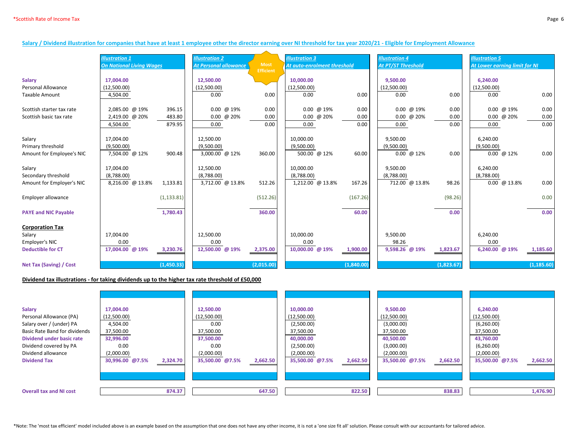#### **Salary / Dividend illustration for companies that have at least 1 employee other the director earning over NI threshold for tax year 2020/21 - Eligible for Employment Allowance**

|                                | <b>Illustration 1</b>           |             | <b>Illustration 2</b>        |                  | <b>Illustration 3</b>       |            | <b>Illustration 4</b> |            | <b>Ilustration 5</b>          |             |
|--------------------------------|---------------------------------|-------------|------------------------------|------------------|-----------------------------|------------|-----------------------|------------|-------------------------------|-------------|
|                                | <b>On National Living Wages</b> |             | <b>At Personal allowance</b> | <b>Most</b>      | At auto-enrolment threshold |            | At PT/ST Threshold    |            | At Lower earning limit for NI |             |
|                                |                                 |             |                              | <b>Efficient</b> |                             |            |                       |            |                               |             |
| <b>Salary</b>                  | 17,004.00                       |             | 12,500.00                    |                  | 10,000.00                   |            | 9,500.00              |            | 6,240.00                      |             |
| <b>Personal Allowance</b>      | (12,500.00)                     |             | (12,500.00)                  |                  | (12,500.00)                 |            | (12,500.00)           |            | (12,500.00)                   |             |
| <b>Taxable Amount</b>          | 4,504.00                        |             | 0.00                         | 0.00             | 0.00                        | 0.00       | 0.00                  | 0.00       | 0.00                          | 0.00        |
|                                |                                 |             |                              |                  |                             |            |                       |            |                               |             |
| Scottish starter tax rate      | 2,085.00 @ 19%                  | 396.15      | $0.00 \ @ 19\%$              | 0.00             | $0.00 \ @ 19\%$             | 0.00       | $0.00 \ @ 19\%$       | 0.00       | $0.00 \ @ 19\%$               | 0.00        |
| Scottish basic tax rate        | 2,419.00 @ 20%                  | 483.80      | $0.00 \ @ 20\%$              | 0.00             | $0.00 \ @ 20\%$             | 0.00       | $0.00 \ @ 20\%$       | 0.00       | $0.00 \ @ 20\%$               | 0.00        |
|                                | 4,504.00                        | 879.95      | 0.00                         | 0.00             | 0.00                        | 0.00       | 0.00                  | 0.00       | 0.00                          | 0.00        |
| Salary                         | 17,004.00                       |             | 12,500.00                    |                  | 10,000.00                   |            | 9,500.00              |            | 6,240.00                      |             |
| Primary threshold              | (9,500.00)                      |             | (9,500.00)                   |                  | (9,500.00)                  |            | (9,500.00)            |            | (9,500.00)                    |             |
| Amount for Employee's NIC      | 7,504.00 @ 12%                  | 900.48      | 3,000.00 @ 12%               | 360.00           | 500.00 @ 12%                | 60.00      | $0.00 \ @ 12\%$       | 0.00       | $0.00 \ @ 12\%$               | 0.00        |
|                                |                                 |             |                              |                  |                             |            |                       |            |                               |             |
| Salary                         | 17,004.00                       |             | 12,500.00                    |                  | 10,000.00                   |            | 9,500.00              |            | 6,240.00                      |             |
| Secondary threshold            | (8,788.00)                      |             | (8,788.00)                   |                  | (8,788.00)                  |            | (8,788.00)            |            | (8,788.00)                    |             |
| Amount for Employer's NIC      | 8,216.00 @ 13.8%                | 1,133.81    | 3,712.00 @ 13.8%             | 512.26           | 1,212.00 @ 13.8%            | 167.26     | 712.00 @ 13.8%        | 98.26      | $0.00 \ @ 13.8\%$             | 0.00        |
|                                |                                 |             |                              |                  |                             |            |                       |            |                               |             |
| Employer allowance             |                                 | (1, 133.81) |                              | (512.26)         |                             | (167.26)   |                       | (98.26)    |                               | 0.00        |
| <b>PAYE and NIC Payable</b>    |                                 | 1,780.43    |                              | 360.00           |                             | 60.00      |                       | 0.00       |                               | 0.00        |
|                                |                                 |             |                              |                  |                             |            |                       |            |                               |             |
| <b>Corporation Tax</b>         |                                 |             |                              |                  |                             |            |                       |            |                               |             |
| Salary                         | 17,004.00                       |             | 12,500.00                    |                  | 10,000.00                   |            | 9,500.00              |            | 6,240.00                      |             |
| Employer's NIC                 | 0.00                            |             | 0.00                         |                  | 0.00                        |            | 98.26                 |            | 0.00                          |             |
| <b>Deductible for CT</b>       | 17,004.00 @ 19%                 | 3,230.76    | 12,500.00 @ 19%              | 2,375.00         | 10,000.00 @ 19%             | 1,900.00   | 9,598.26 @ 19%        | 1,823.67   | 6,240.00 @ 19%                | 1,185.60    |
|                                |                                 |             |                              |                  |                             |            |                       |            |                               |             |
| <b>Net Tax (Saving) / Cost</b> |                                 | (1,450.33)  |                              | (2,015.00)       |                             | (1,840.00) |                       | (1,823.67) |                               | (1, 185.60) |

#### **Dividend tax illustrations - for taking dividends up to the higher tax rate threshold of £50,000**

| <b>Salary</b><br>Personal Allowance (PA)<br>Salary over / (under) PA<br><b>Basic Rate Band for dividends</b><br>Dividend under basic rate<br>Dividend covered by PA<br>Dividend allowance<br><b>Dividend Tax</b> | 17,004.00<br>(12,500.00)<br>4,504.00<br>37,500.00<br>32,996.00<br>0.00<br>(2,000.00)<br>30,996.00 @7.5%<br>2,324.70 | 12,500.00<br>(12,500.00)<br>0.00<br>37,500.00<br>37,500.00<br>0.00<br>(2,000.00)<br>35,500.00 @7.5% | 2,662.50 | 10,000.00<br>(12,500.00)<br>(2,500.00)<br>37,500.00<br>40,000.00<br>(2,500.00)<br>(2,000.00)<br>35,500.00 @7.5% | 2,662.50 | 9,500.00<br>(12,500.00)<br>(3,000.00)<br>37,500.00<br>40,500.00<br>(3,000.00)<br>(2,000.00)<br>35,500.00 @7.5% | 2,662.50 | 6,240.00<br>(12,500.00)<br>(6,260.00)<br>37,500.00<br>43,760.00<br>(6,260.00)<br>(2,000.00)<br>35,500.00 @7.5% | 2,662.50 |
|------------------------------------------------------------------------------------------------------------------------------------------------------------------------------------------------------------------|---------------------------------------------------------------------------------------------------------------------|-----------------------------------------------------------------------------------------------------|----------|-----------------------------------------------------------------------------------------------------------------|----------|----------------------------------------------------------------------------------------------------------------|----------|----------------------------------------------------------------------------------------------------------------|----------|
| <b>Overall tax and NI cost</b>                                                                                                                                                                                   | 874.37                                                                                                              |                                                                                                     | 647.50   |                                                                                                                 | 822.50   |                                                                                                                | 838.83   |                                                                                                                | 1,476.90 |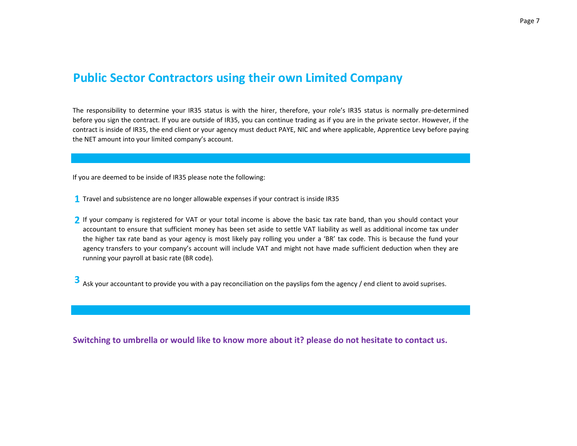### **Public Sector Contractors using their own Limited Company**

The responsibility to determine your IR35 status is with the hirer, therefore, your role's IR35 status is normally pre-determined before you sign the contract. If you are outside of IR35, you can continue trading as if you are in the private sector. However, if the contract is inside of IR35, the end client or your agency must deduct PAYE, NIC and where applicable, Apprentice Levy before paying the NET amount into your limited company's account.

If you are deemed to be inside of IR35 please note the following:

- **1** Travel and subsistence are no longer allowable expenses if your contract is inside IR35
- **2** If your company is registered for VAT or your total income is above the basic tax rate band, than you should contact your accountant to ensure that sufficient money has been set aside to settle VAT liability as well as additional income tax under the higher tax rate band as your agency is most likely pay rolling you under a 'BR' tax code. This is because the fund your agency transfers to your company's account will include VAT and might not have made sufficient deduction when they are running your payroll at basic rate (BR code).

**3** Ask your accountant to provide you with a pay reconciliation on the payslips fom the agency / end client to avoid suprises.

**Switching to umbrella or would like to know more about it? please do not hesitate to contact us.**